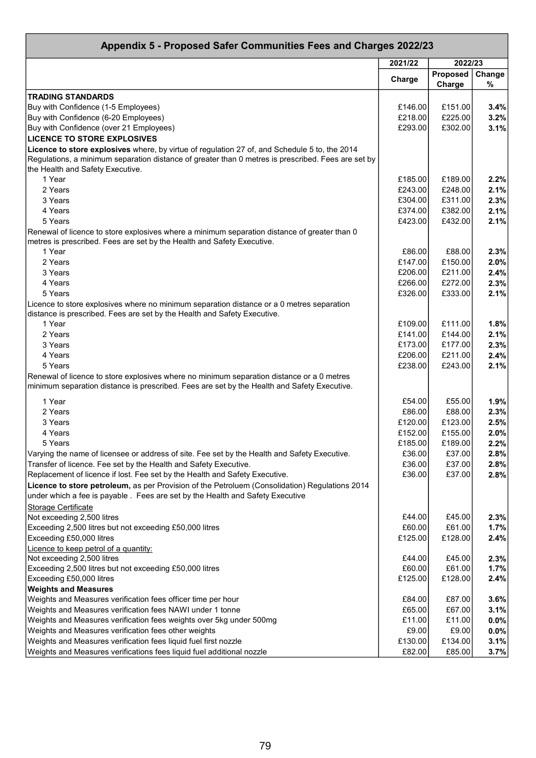| Appendix 5 - Proposed Safer Communities Fees and Charges 2022/23                                                                                                                |         |                    |             |
|---------------------------------------------------------------------------------------------------------------------------------------------------------------------------------|---------|--------------------|-------------|
|                                                                                                                                                                                 | 2021/22 | 2022/23            |             |
|                                                                                                                                                                                 | Charge  | Proposed<br>Charge | Change<br>% |
| <b>TRADING STANDARDS</b>                                                                                                                                                        |         |                    |             |
| Buy with Confidence (1-5 Employees)                                                                                                                                             | £146.00 | £151.00            | 3.4%        |
| Buy with Confidence (6-20 Employees)                                                                                                                                            | £218.00 | £225.00            | 3.2%        |
| Buy with Confidence (over 21 Employees)                                                                                                                                         | £293.00 | £302.00            | 3.1%        |
| <b>LICENCE TO STORE EXPLOSIVES</b>                                                                                                                                              |         |                    |             |
| Licence to store explosives where, by virtue of regulation 27 of, and Schedule 5 to, the 2014                                                                                   |         |                    |             |
| Regulations, a minimum separation distance of greater than 0 metres is prescribed. Fees are set by                                                                              |         |                    |             |
| the Health and Safety Executive.                                                                                                                                                |         |                    |             |
| 1 Year                                                                                                                                                                          | £185.00 | £189.00            | 2.2%        |
| 2 Years                                                                                                                                                                         | £243.00 | £248.00            | 2.1%        |
| 3 Years                                                                                                                                                                         | £304.00 | £311.00            | 2.3%        |
| 4 Years                                                                                                                                                                         | £374.00 | £382.00            | 2.1%        |
| 5 Years                                                                                                                                                                         | £423.00 | £432.00            | 2.1%        |
| Renewal of licence to store explosives where a minimum separation distance of greater than 0<br>metres is prescribed. Fees are set by the Health and Safety Executive.          |         |                    |             |
| 1 Year                                                                                                                                                                          | £86.00  | £88.00             | 2.3%        |
| 2 Years                                                                                                                                                                         | £147.00 | £150.00            | 2.0%        |
| 3 Years                                                                                                                                                                         | £206.00 | £211.00            | 2.4%        |
| 4 Years                                                                                                                                                                         | £266.00 | £272.00            | 2.3%        |
| 5 Years                                                                                                                                                                         | £326.00 | £333.00            | 2.1%        |
| Licence to store explosives where no minimum separation distance or a 0 metres separation                                                                                       |         |                    |             |
| distance is prescribed. Fees are set by the Health and Safety Executive.<br>1 Year                                                                                              | £109.00 | £111.00            | 1.8%        |
| 2 Years                                                                                                                                                                         | £141.00 | £144.00            | 2.1%        |
| 3 Years                                                                                                                                                                         | £173.00 | £177.00            | 2.3%        |
| 4 Years                                                                                                                                                                         | £206.00 | £211.00            | 2.4%        |
| 5 Years                                                                                                                                                                         | £238.00 | £243.00            | 2.1%        |
| Renewal of licence to store explosives where no minimum separation distance or a 0 metres                                                                                       |         |                    |             |
| minimum separation distance is prescribed. Fees are set by the Health and Safety Executive.                                                                                     |         |                    |             |
| 1 Year                                                                                                                                                                          | £54.00  | £55.00             | 1.9%        |
| 2 Years                                                                                                                                                                         | £86.00  | £88.00             | 2.3%        |
| 3 Years                                                                                                                                                                         | £120.00 | £123.00            | 2.5%        |
| 4 Years                                                                                                                                                                         | £152.00 | £155.00            | 2.0%        |
| 5 Years                                                                                                                                                                         | £185.00 | £189.00            | 2.2%        |
| Varying the name of licensee or address of site. Fee set by the Health and Safety Executive.                                                                                    | £36.00  | £37.00             | 2.8%        |
| Transfer of licence. Fee set by the Health and Safety Executive.                                                                                                                | £36.00  | £37.00             | 2.8%        |
| Replacement of licence if lost. Fee set by the Health and Safety Executive.                                                                                                     | £36.00  | £37.00             | 2.8%        |
| Licence to store petroleum, as per Provision of the Petroluem (Consolidation) Regulations 2014<br>under which a fee is payable. Fees are set by the Health and Safety Executive |         |                    |             |
| <b>Storage Certificate</b>                                                                                                                                                      |         |                    |             |
| Not exceeding 2,500 litres                                                                                                                                                      | £44.00  | £45.00             | 2.3%        |
| Exceeding 2,500 litres but not exceeding £50,000 litres                                                                                                                         | £60.00  | £61.00             | 1.7%        |
| Exceeding £50,000 litres                                                                                                                                                        | £125.00 | £128.00            | 2.4%        |
| Licence to keep petrol of a quantity:                                                                                                                                           |         |                    |             |
| Not exceeding 2,500 litres                                                                                                                                                      | £44.00  | £45.00             | 2.3%        |
| Exceeding 2,500 litres but not exceeding £50,000 litres                                                                                                                         | £60.00  | £61.00             | 1.7%        |
| Exceeding £50,000 litres                                                                                                                                                        | £125.00 | £128.00            | 2.4%        |
| <b>Weights and Measures</b>                                                                                                                                                     |         |                    |             |
| Weights and Measures verification fees officer time per hour                                                                                                                    | £84.00  | £87.00             | 3.6%        |
| Weights and Measures verification fees NAWI under 1 tonne                                                                                                                       | £65.00  | £67.00             | 3.1%        |
| Weights and Measures verification fees weights over 5kg under 500mg                                                                                                             | £11.00  | £11.00             | 0.0%        |
| Weights and Measures verification fees other weights                                                                                                                            | £9.00   | £9.00              | $0.0\%$     |
| Weights and Measures verification fees liquid fuel first nozzle                                                                                                                 | £130.00 | £134.00            | 3.1%        |
| Weights and Measures verifications fees liquid fuel additional nozzle                                                                                                           | £82.00  | £85.00             | 3.7%        |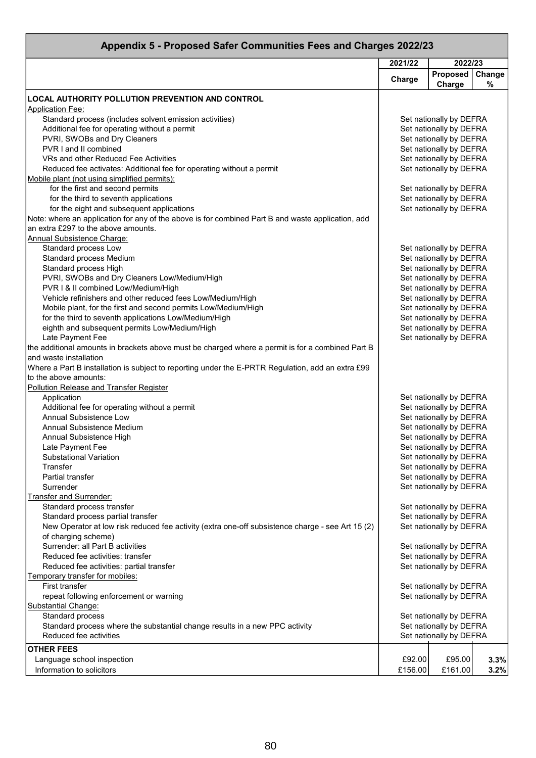| Appendix 5 - Proposed Safer Communities Fees and Charges 2022/23                                         |         |                                                    |             |  |
|----------------------------------------------------------------------------------------------------------|---------|----------------------------------------------------|-------------|--|
|                                                                                                          | 2021/22 | 2022/23                                            |             |  |
|                                                                                                          | Charge  | Proposed<br>Charge                                 | Change<br>% |  |
| <b>LOCAL AUTHORITY POLLUTION PREVENTION AND CONTROL</b>                                                  |         |                                                    |             |  |
| <b>Application Fee:</b>                                                                                  |         |                                                    |             |  |
| Standard process (includes solvent emission activities)<br>Additional fee for operating without a permit |         | Set nationally by DEFRA<br>Set nationally by DEFRA |             |  |
| PVRI, SWOBs and Dry Cleaners                                                                             |         | Set nationally by DEFRA                            |             |  |
| PVR I and II combined                                                                                    |         | Set nationally by DEFRA                            |             |  |
| VRs and other Reduced Fee Activities                                                                     |         | Set nationally by DEFRA                            |             |  |
| Reduced fee activates: Additional fee for operating without a permit                                     |         | Set nationally by DEFRA                            |             |  |
| Mobile plant (not using simplified permits):                                                             |         |                                                    |             |  |
| for the first and second permits                                                                         |         | Set nationally by DEFRA                            |             |  |
| for the third to seventh applications                                                                    |         | Set nationally by DEFRA                            |             |  |
| for the eight and subsequent applications                                                                |         | Set nationally by DEFRA                            |             |  |
| Note: where an application for any of the above is for combined Part B and waste application, add        |         |                                                    |             |  |
| an extra £297 to the above amounts.                                                                      |         |                                                    |             |  |
| <b>Annual Subsistence Charge:</b>                                                                        |         |                                                    |             |  |
| Standard process Low                                                                                     |         | Set nationally by DEFRA                            |             |  |
| <b>Standard process Medium</b>                                                                           |         | Set nationally by DEFRA                            |             |  |
| Standard process High                                                                                    |         | Set nationally by DEFRA                            |             |  |
| PVRI, SWOBs and Dry Cleaners Low/Medium/High                                                             |         | Set nationally by DEFRA                            |             |  |
| PVR I & II combined Low/Medium/High                                                                      |         | Set nationally by DEFRA                            |             |  |
| Vehicle refinishers and other reduced fees Low/Medium/High                                               |         | Set nationally by DEFRA                            |             |  |
| Mobile plant, for the first and second permits Low/Medium/High                                           |         | Set nationally by DEFRA                            |             |  |
| for the third to seventh applications Low/Medium/High                                                    |         | Set nationally by DEFRA<br>Set nationally by DEFRA |             |  |
| eighth and subsequent permits Low/Medium/High<br>Late Payment Fee                                        |         | Set nationally by DEFRA                            |             |  |
| the additional amounts in brackets above must be charged where a permit is for a combined Part B         |         |                                                    |             |  |
| and waste installation                                                                                   |         |                                                    |             |  |
| Where a Part B installation is subject to reporting under the E-PRTR Regulation, add an extra £99        |         |                                                    |             |  |
| to the above amounts:                                                                                    |         |                                                    |             |  |
| <b>Pollution Release and Transfer Register</b>                                                           |         |                                                    |             |  |
| Application                                                                                              |         | Set nationally by DEFRA                            |             |  |
| Additional fee for operating without a permit                                                            |         | Set nationally by DEFRA                            |             |  |
| <b>Annual Subsistence Low</b>                                                                            |         | Set nationally by DEFRA                            |             |  |
| Annual Subsistence Medium                                                                                |         | Set nationally by DEFRA                            |             |  |
| Annual Subsistence High                                                                                  |         | Set nationally by DEFRA                            |             |  |
| Late Payment Fee                                                                                         |         | Set nationally by DEFRA                            |             |  |
| Substational Variation                                                                                   |         | Set nationally by DEFRA                            |             |  |
| Transfer                                                                                                 |         | Set nationally by DEFRA                            |             |  |
| Partial transfer                                                                                         |         | Set nationally by DEFRA                            |             |  |
| Surrender<br><b>Transfer and Surrender:</b>                                                              |         | Set nationally by DEFRA                            |             |  |
| Standard process transfer                                                                                |         | Set nationally by DEFRA                            |             |  |
| Standard process partial transfer                                                                        |         | Set nationally by DEFRA                            |             |  |
| New Operator at low risk reduced fee activity (extra one-off subsistence charge - see Art 15 (2)         |         | Set nationally by DEFRA                            |             |  |
| of charging scheme)                                                                                      |         |                                                    |             |  |
| Surrender: all Part B activities                                                                         |         | Set nationally by DEFRA                            |             |  |
| Reduced fee activities: transfer                                                                         |         | Set nationally by DEFRA                            |             |  |
| Reduced fee activities: partial transfer                                                                 |         | Set nationally by DEFRA                            |             |  |
| Temporary transfer for mobiles:                                                                          |         |                                                    |             |  |
| First transfer                                                                                           |         | Set nationally by DEFRA                            |             |  |
| repeat following enforcement or warning                                                                  |         | Set nationally by DEFRA                            |             |  |
| <b>Substantial Change:</b>                                                                               |         |                                                    |             |  |
| Standard process                                                                                         |         | Set nationally by DEFRA                            |             |  |
| Standard process where the substantial change results in a new PPC activity                              |         | Set nationally by DEFRA                            |             |  |
| Reduced fee activities                                                                                   |         | Set nationally by DEFRA                            |             |  |
| <b>OTHER FEES</b>                                                                                        |         |                                                    |             |  |
| Language school inspection                                                                               | £92.00  | £95.00                                             | 3.3%        |  |
| Information to solicitors                                                                                | £156.00 | £161.00                                            | 3.2%        |  |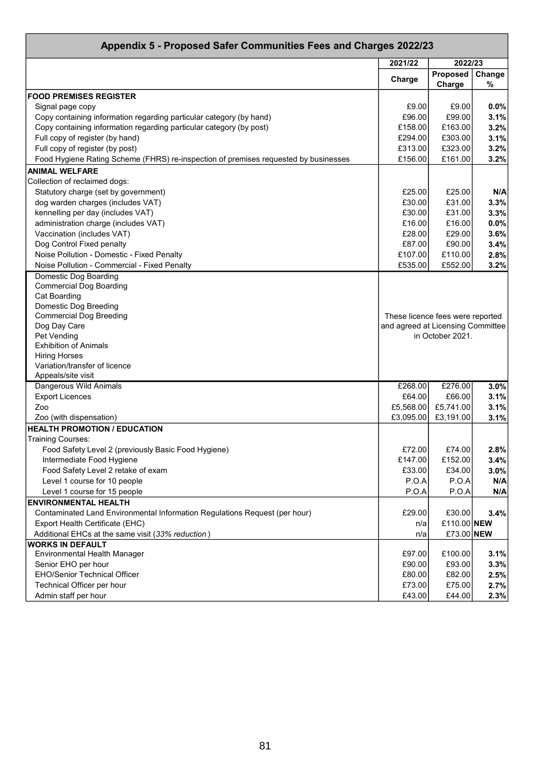| Appendix 5 - Proposed Safer Communities Fees and Charges 2022/23                    |                                   |                    |             |
|-------------------------------------------------------------------------------------|-----------------------------------|--------------------|-------------|
|                                                                                     | 2021/22                           | 2022/23            |             |
|                                                                                     | Charge                            | Proposed<br>Charge | Change<br>% |
| <b>FOOD PREMISES REGISTER</b>                                                       |                                   |                    |             |
|                                                                                     |                                   |                    |             |
| Signal page copy                                                                    | £9.00                             | £9.00              | 0.0%        |
| Copy containing information regarding particular category (by hand)                 | £96.00                            | £99.00             | 3.1%        |
| Copy containing information regarding particular category (by post)                 | £158.00                           | £163.00            | 3.2%        |
| Full copy of register (by hand)                                                     | £294.00                           | £303.00            | 3.1%        |
| Full copy of register (by post)                                                     | £313.00                           | £323.00            | 3.2%        |
| Food Hygiene Rating Scheme (FHRS) re-inspection of premises requested by businesses | £156.00                           | £161.00            | 3.2%        |
| <b>ANIMAL WELFARE</b>                                                               |                                   |                    |             |
| Collection of reclaimed dogs:                                                       |                                   |                    |             |
| Statutory charge (set by government)                                                | £25.00                            | £25.00             | N/A         |
| dog warden charges (includes VAT)                                                   | £30.00                            | £31.00             | 3.3%        |
| kennelling per day (includes VAT)                                                   | £30.00                            | £31.00             | 3.3%        |
| administration charge (includes VAT)                                                | £16.00                            | £16.00             | 0.0%        |
| Vaccination (includes VAT)                                                          | £28.00                            | £29.00             | 3.6%        |
| Dog Control Fixed penalty                                                           | £87.00                            | £90.00             | 3.4%        |
| Noise Pollution - Domestic - Fixed Penalty                                          | £107.00                           | £110.00            | 2.8%        |
| Noise Pollution - Commercial - Fixed Penalty                                        | £535.00                           | £552.00            | 3.2%        |
| <b>Domestic Dog Boarding</b>                                                        |                                   |                    |             |
| <b>Commercial Dog Boarding</b>                                                      |                                   |                    |             |
| Cat Boarding                                                                        |                                   |                    |             |
| Domestic Dog Breeding                                                               |                                   |                    |             |
| <b>Commercial Dog Breeding</b>                                                      | These licence fees were reported  |                    |             |
| Dog Day Care                                                                        | and agreed at Licensing Committee |                    |             |
| Pet Vending                                                                         |                                   | in October 2021.   |             |
| <b>Exhibition of Animals</b>                                                        |                                   |                    |             |
| <b>Hiring Horses</b>                                                                |                                   |                    |             |
| Variation/transfer of licence                                                       |                                   |                    |             |
| Appeals/site visit                                                                  |                                   |                    |             |
| Dangerous Wild Animals                                                              | £268.00                           | £276.00            | 3.0%        |
| <b>Export Licences</b>                                                              | £64.00                            | £66.00             | 3.1%        |
| Zoo                                                                                 | £5,568.00                         | £5,741.00          | 3.1%        |
| Zoo (with dispensation)                                                             | £3,095.00                         | £3,191.00          | 3.1%        |
| <b>HEALTH PROMOTION / EDUCATION</b>                                                 |                                   |                    |             |
| Training Courses:                                                                   |                                   |                    |             |
| Food Safety Level 2 (previously Basic Food Hygiene)                                 | £72.00                            | £74.00             | 2.8%        |
| Intermediate Food Hygiene                                                           | £147.00                           | £152.00            | 3.4%        |
| Food Safety Level 2 retake of exam                                                  | £33.00                            | £34.00             | 3.0%        |
| Level 1 course for 10 people                                                        | P.O.A                             | P.O.A              | N/A         |
| Level 1 course for 15 people                                                        | P.O.A                             | P.O.A              | N/A         |
| <b>ENVIRONMENTAL HEALTH</b>                                                         |                                   |                    |             |
| Contaminated Land Environmental Information Regulations Request (per hour)          | £29.00                            | £30.00             | 3.4%        |
| Export Health Certificate (EHC)                                                     | n/a                               | £110.00 NEW        |             |
| Additional EHCs at the same visit (33% reduction)                                   | n/a                               | £73.00 NEW         |             |
| <b>WORKS IN DEFAULT</b>                                                             |                                   |                    |             |
| Environmental Health Manager                                                        | £97.00                            | £100.00            | 3.1%        |
| Senior EHO per hour                                                                 | £90.00                            | £93.00             | 3.3%        |
| EHO/Senior Technical Officer                                                        | £80.00                            | £82.00             | 2.5%        |
| Technical Officer per hour                                                          | £73.00                            | £75.00             | 2.7%        |
| Admin staff per hour                                                                | £43.00                            | £44.00             | 2.3%        |